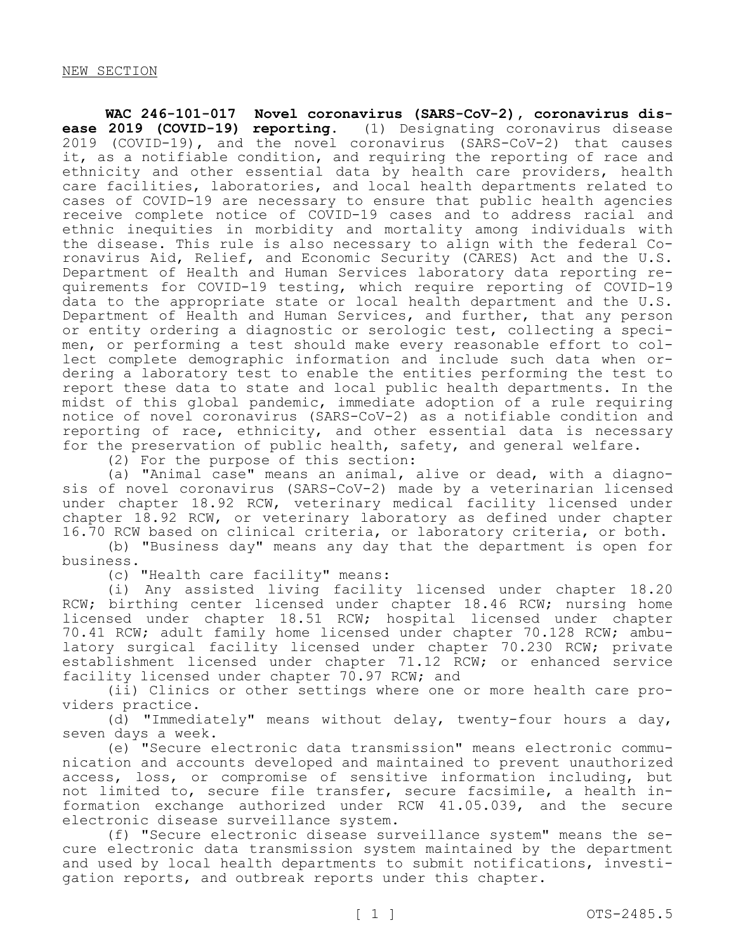**WAC 246-101-017 Novel coronavirus (SARS-CoV-2), coronavirus disease 2019 (COVID-19) reporting.** (1) Designating coronavirus disease 2019 (COVID-19), and the novel coronavirus (SARS-CoV-2) that causes it, as a notifiable condition, and requiring the reporting of race and ethnicity and other essential data by health care providers, health care facilities, laboratories, and local health departments related to cases of COVID-19 are necessary to ensure that public health agencies receive complete notice of COVID-19 cases and to address racial and ethnic inequities in morbidity and mortality among individuals with the disease. This rule is also necessary to align with the federal Coronavirus Aid, Relief, and Economic Security (CARES) Act and the U.S. Department of Health and Human Services laboratory data reporting requirements for COVID-19 testing, which require reporting of COVID-19 data to the appropriate state or local health department and the U.S. Department of Health and Human Services, and further, that any person or entity ordering a diagnostic or serologic test, collecting a specimen, or performing a test should make every reasonable effort to collect complete demographic information and include such data when ordering a laboratory test to enable the entities performing the test to report these data to state and local public health departments. In the midst of this global pandemic, immediate adoption of a rule requiring notice of novel coronavirus (SARS-CoV-2) as a notifiable condition and reporting of race, ethnicity, and other essential data is necessary for the preservation of public health, safety, and general welfare.

(2) For the purpose of this section:

(a) "Animal case" means an animal, alive or dead, with a diagnosis of novel coronavirus (SARS-CoV-2) made by a veterinarian licensed under chapter 18.92 RCW, veterinary medical facility licensed under chapter 18.92 RCW, or veterinary laboratory as defined under chapter 16.70 RCW based on clinical criteria, or laboratory criteria, or both.

(b) "Business day" means any day that the department is open for business.

(c) "Health care facility" means:

(i) Any assisted living facility licensed under chapter 18.20 RCW; birthing center licensed under chapter 18.46 RCW; nursing home licensed under chapter 18.51 RCW; hospital licensed under chapter 70.41 RCW; adult family home licensed under chapter 70.128 RCW; ambulatory surgical facility licensed under chapter 70.230 RCW; private establishment licensed under chapter 71.12 RCW; or enhanced service facility licensed under chapter 70.97 RCW; and

(ii) Clinics or other settings where one or more health care providers practice.

(d) "Immediately" means without delay, twenty-four hours a day, seven days a week.

(e) "Secure electronic data transmission" means electronic communication and accounts developed and maintained to prevent unauthorized access, loss, or compromise of sensitive information including, but not limited to, secure file transfer, secure facsimile, a health information exchange authorized under RCW 41.05.039, and the secure electronic disease surveillance system.

(f) "Secure electronic disease surveillance system" means the secure electronic data transmission system maintained by the department and used by local health departments to submit notifications, investigation reports, and outbreak reports under this chapter.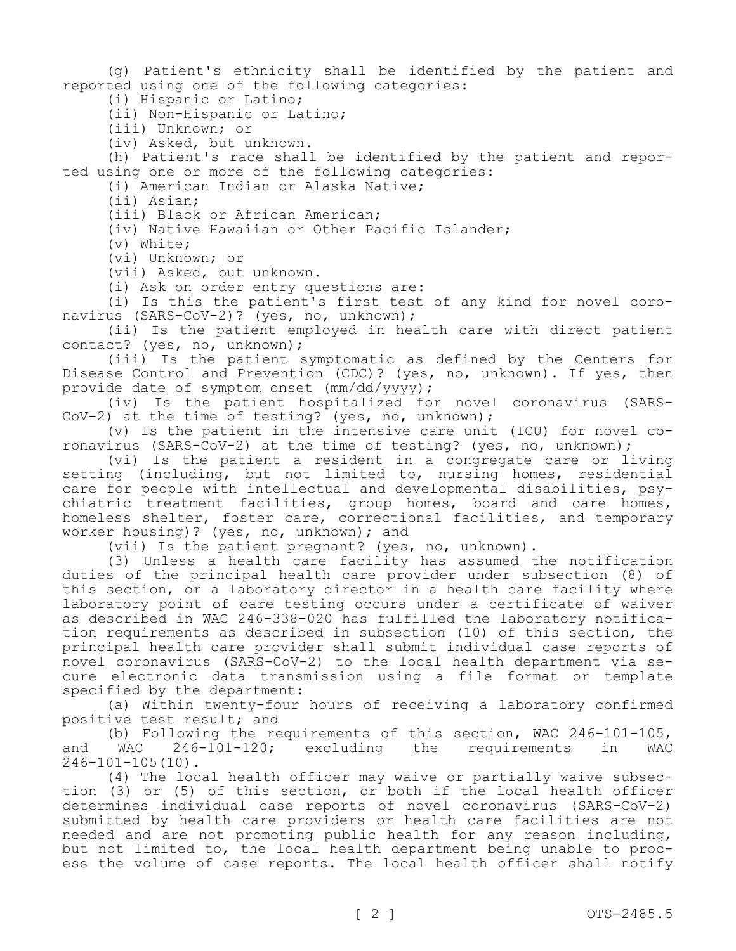(g) Patient's ethnicity shall be identified by the patient and reported using one of the following categories:

(i) Hispanic or Latino;

(ii) Non-Hispanic or Latino;

(iii) Unknown; or

(iv) Asked, but unknown.

(h) Patient's race shall be identified by the patient and reported using one or more of the following categories:

(i) American Indian or Alaska Native;

(ii) Asian;

(iii) Black or African American;

(iv) Native Hawaiian or Other Pacific Islander;

(v) White;

(vi) Unknown; or

(vii) Asked, but unknown.

(i) Ask on order entry questions are:

(i) Is this the patient's first test of any kind for novel coronavirus (SARS-CoV-2)? (yes, no, unknown);

(ii) Is the patient employed in health care with direct patient contact? (yes, no, unknown);

(iii) Is the patient symptomatic as defined by the Centers for Disease Control and Prevention (CDC)? (yes, no, unknown). If yes, then provide date of symptom onset (mm/dd/yyyy);

(iv) Is the patient hospitalized for novel coronavirus (SARS-CoV-2) at the time of testing? (yes, no, unknown);

(v) Is the patient in the intensive care unit (ICU) for novel coronavirus (SARS-CoV-2) at the time of testing? (yes, no, unknown);

(vi) Is the patient a resident in a congregate care or living setting (including, but not limited to, nursing homes, residential care for people with intellectual and developmental disabilities, psychiatric treatment facilities, group homes, board and care homes, homeless shelter, foster care, correctional facilities, and temporary worker housing)? (yes, no, unknown); and

(vii) Is the patient pregnant? (yes, no, unknown).

(3) Unless a health care facility has assumed the notification duties of the principal health care provider under subsection (8) of this section, or a laboratory director in a health care facility where laboratory point of care testing occurs under a certificate of waiver as described in WAC 246-338-020 has fulfilled the laboratory notification requirements as described in subsection (10) of this section, the principal health care provider shall submit individual case reports of novel coronavirus (SARS-CoV-2) to the local health department via secure electronic data transmission using a file format or template specified by the department:

(a) Within twenty-four hours of receiving a laboratory confirmed positive test result; and

(b) Following the requirements of this section, WAC  $246-101-105$ , WAC  $246-101-120$ ; excluding the requirements in WAC and WAC 246-101-120; excluding the requirements in WAC 246-101-105(10).

(4) The local health officer may waive or partially waive subsection (3) or (5) of this section, or both if the local health officer determines individual case reports of novel coronavirus (SARS-CoV-2) submitted by health care providers or health care facilities are not needed and are not promoting public health for any reason including, but not limited to, the local health department being unable to process the volume of case reports. The local health officer shall notify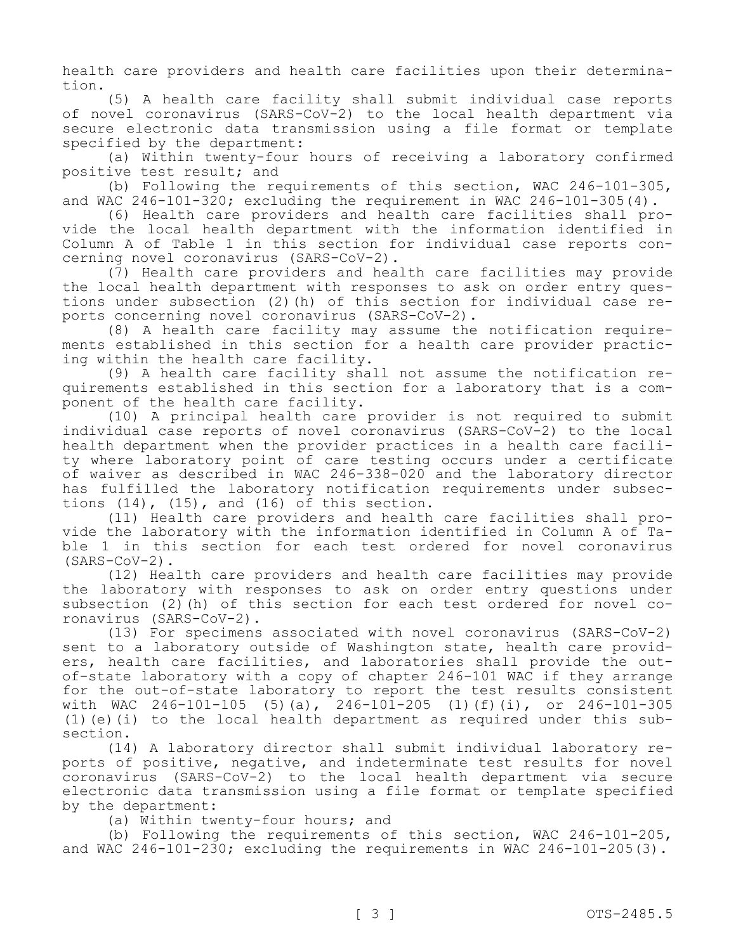health care providers and health care facilities upon their determination.

(5) A health care facility shall submit individual case reports of novel coronavirus (SARS-CoV-2) to the local health department via secure electronic data transmission using a file format or template specified by the department:

(a) Within twenty-four hours of receiving a laboratory confirmed positive test result; and

(b) Following the requirements of this section, WAC 246-101-305, and WAC 246-101-320; excluding the requirement in WAC 246-101-305(4).

(6) Health care providers and health care facilities shall provide the local health department with the information identified in Column A of Table 1 in this section for individual case reports concerning novel coronavirus (SARS-CoV-2).

(7) Health care providers and health care facilities may provide the local health department with responses to ask on order entry questions under subsection (2)(h) of this section for individual case reports concerning novel coronavirus (SARS-CoV-2).

(8) A health care facility may assume the notification requirements established in this section for a health care provider practicing within the health care facility.

(9) A health care facility shall not assume the notification requirements established in this section for a laboratory that is a component of the health care facility.

(10) A principal health care provider is not required to submit individual case reports of novel coronavirus (SARS-CoV-2) to the local health department when the provider practices in a health care facility where laboratory point of care testing occurs under a certificate of waiver as described in WAC 246-338-020 and the laboratory director has fulfilled the laboratory notification requirements under subsections  $(14)$ ,  $(15)$ , and  $(16)$  of this section.

(11) Health care providers and health care facilities shall provide the laboratory with the information identified in Column A of Table 1 in this section for each test ordered for novel coronavirus (SARS-CoV-2).

(12) Health care providers and health care facilities may provide the laboratory with responses to ask on order entry questions under subsection (2)(h) of this section for each test ordered for novel coronavirus (SARS-CoV-2).

(13) For specimens associated with novel coronavirus (SARS-CoV-2) sent to a laboratory outside of Washington state, health care providers, health care facilities, and laboratories shall provide the outof-state laboratory with a copy of chapter 246-101 WAC if they arrange for the out-of-state laboratory to report the test results consistent with WAC 246-101-105 (5)(a), 246-101-205 (1)(f)(i), or 246-101-305 (1)(e)(i) to the local health department as required under this subsection.

(14) A laboratory director shall submit individual laboratory reports of positive, negative, and indeterminate test results for novel coronavirus (SARS-CoV-2) to the local health department via secure electronic data transmission using a file format or template specified by the department:

(a) Within twenty-four hours; and

(b) Following the requirements of this section, WAC 246-101-205, and WAC 246-101-230; excluding the requirements in WAC 246-101-205(3).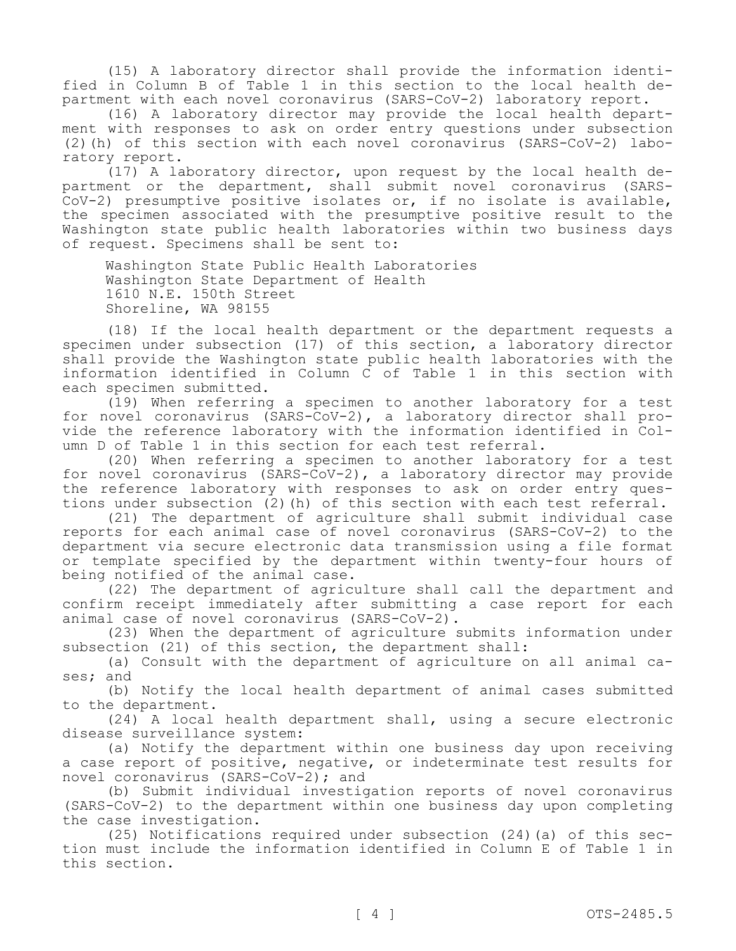(15) A laboratory director shall provide the information identified in Column B of Table 1 in this section to the local health department with each novel coronavirus (SARS-CoV-2) laboratory report.

(16) A laboratory director may provide the local health department with responses to ask on order entry questions under subsection (2)(h) of this section with each novel coronavirus (SARS-CoV-2) laboratory report.

 $(17)$  A laboratory director, upon request by the local health department or the department, shall submit novel coronavirus (SARS-CoV-2) presumptive positive isolates or, if no isolate is available, the specimen associated with the presumptive positive result to the Washington state public health laboratories within two business days of request. Specimens shall be sent to:

Washington State Public Health Laboratories Washington State Department of Health 1610 N.E. 150th Street Shoreline, WA 98155

(18) If the local health department or the department requests a specimen under subsection (17) of this section, a laboratory director shall provide the Washington state public health laboratories with the information identified in Column C of Table 1 in this section with each specimen submitted.

(19) When referring a specimen to another laboratory for a test for novel coronavirus (SARS-CoV-2), a laboratory director shall provide the reference laboratory with the information identified in Column D of Table 1 in this section for each test referral.

(20) When referring a specimen to another laboratory for a test for novel coronavirus (SARS-CoV-2), a laboratory director may provide the reference laboratory with responses to ask on order entry questions under subsection (2)(h) of this section with each test referral.

(21) The department of agriculture shall submit individual case reports for each animal case of novel coronavirus (SARS-CoV-2) to the department via secure electronic data transmission using a file format or template specified by the department within twenty-four hours of being notified of the animal case.

(22) The department of agriculture shall call the department and confirm receipt immediately after submitting a case report for each animal case of novel coronavirus (SARS-CoV-2).

(23) When the department of agriculture submits information under subsection (21) of this section, the department shall:

(a) Consult with the department of agriculture on all animal cases; and

(b) Notify the local health department of animal cases submitted to the department.

(24) A local health department shall, using a secure electronic disease surveillance system:

(a) Notify the department within one business day upon receiving a case report of positive, negative, or indeterminate test results for novel coronavirus (SARS-CoV-2); and

(b) Submit individual investigation reports of novel coronavirus (SARS-CoV-2) to the department within one business day upon completing the case investigation.

(25) Notifications required under subsection (24)(a) of this section must include the information identified in Column E of Table 1 in this section.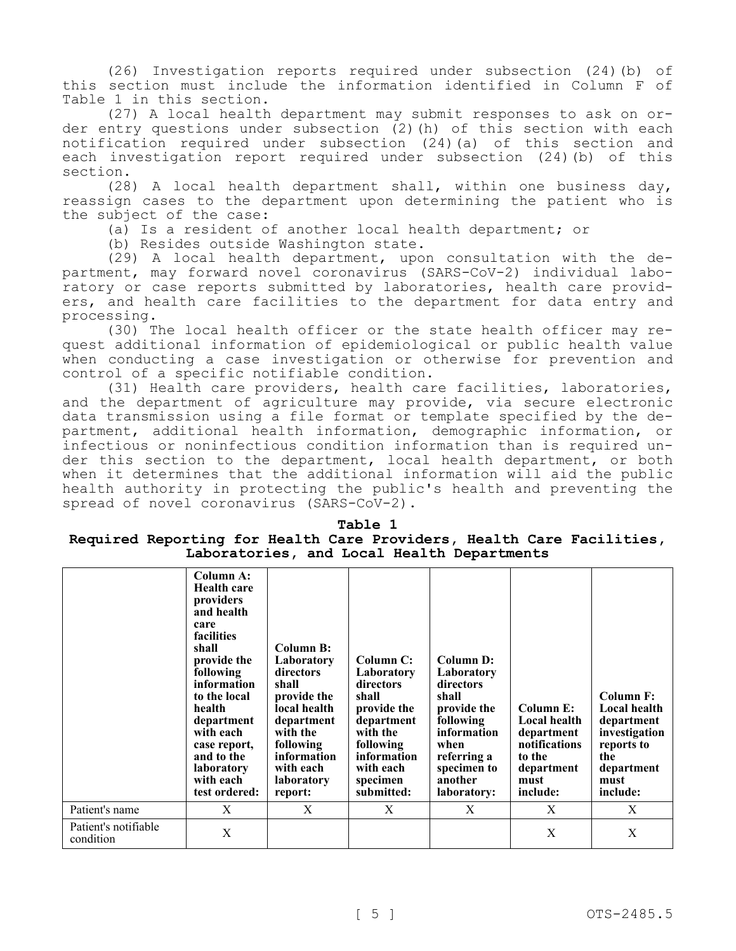(26) Investigation reports required under subsection (24)(b) of this section must include the information identified in Column F of Table 1 in this section.

(27) A local health department may submit responses to ask on order entry questions under subsection (2)(h) of this section with each notification required under subsection (24)(a) of this section and each investigation report required under subsection (24)(b) of this section.

(28) A local health department shall, within one business day, reassign cases to the department upon determining the patient who is the subject of the case:

(a) Is a resident of another local health department; or

(b) Resides outside Washington state.

(29) A local health department, upon consultation with the department, may forward novel coronavirus (SARS-CoV-2) individual laboratory or case reports submitted by laboratories, health care providers, and health care facilities to the department for data entry and processing.

(30) The local health officer or the state health officer may request additional information of epidemiological or public health value when conducting a case investigation or otherwise for prevention and control of a specific notifiable condition.

(31) Health care providers, health care facilities, laboratories, and the department of agriculture may provide, via secure electronic data transmission using a file format or template specified by the department, additional health information, demographic information, or infectious or noninfectious condition information than is required under this section to the department, local health department, or both when it determines that the additional information will aid the public health authority in protecting the public's health and preventing the spread of novel coronavirus (SARS-CoV-2).

## **Table 1 Required Reporting for Health Care Providers, Health Care Facilities, Laboratories, and Local Health Departments**

|                                   | Column A:<br><b>Health care</b><br>providers<br>and health<br>care<br>facilities<br>shall<br>provide the<br>following<br>information<br>to the local<br>health<br>department<br>with each<br>case report,<br>and to the<br>laboratory<br>with each<br>test ordered: | <b>Column B:</b><br>Laboratory<br>directors<br>shall<br>provide the<br>local health<br>department<br>with the<br>following<br>information<br>with each<br><b>laboratory</b><br>report: | Column C:<br>Laboratory<br>directors<br>shall<br>provide the<br>department<br>with the<br>following<br>information<br>with each<br>specimen<br>submitted: | Column D:<br>Laboratory<br>directors<br>shall<br>provide the<br>following<br>information<br>when<br>referring a<br>specimen to<br>another<br>laboratory: | Column E:<br><b>Local health</b><br>department<br>notifications<br>to the<br>department<br>must<br>include: | Column F:<br><b>Local health</b><br>department<br>investigation<br>reports to<br>the<br>department<br>must<br>include: |
|-----------------------------------|---------------------------------------------------------------------------------------------------------------------------------------------------------------------------------------------------------------------------------------------------------------------|----------------------------------------------------------------------------------------------------------------------------------------------------------------------------------------|-----------------------------------------------------------------------------------------------------------------------------------------------------------|----------------------------------------------------------------------------------------------------------------------------------------------------------|-------------------------------------------------------------------------------------------------------------|------------------------------------------------------------------------------------------------------------------------|
| Patient's name                    | X                                                                                                                                                                                                                                                                   | X                                                                                                                                                                                      | X                                                                                                                                                         | X                                                                                                                                                        | X                                                                                                           | X                                                                                                                      |
| Patient's notifiable<br>condition | X                                                                                                                                                                                                                                                                   |                                                                                                                                                                                        |                                                                                                                                                           |                                                                                                                                                          | X                                                                                                           | X                                                                                                                      |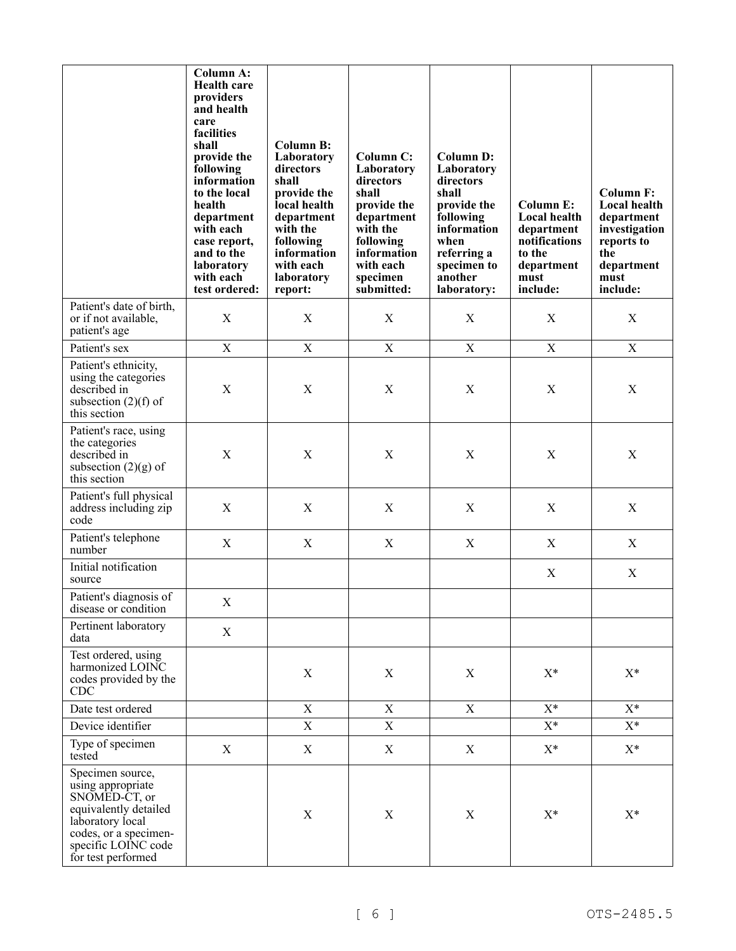|                                                                                                                                                                           | <b>Column A:</b><br><b>Health care</b><br>providers<br>and health<br>care<br>facilities<br>shall<br>provide the<br>following<br>information<br>to the local<br>health<br>department<br>with each<br>case report,<br>and to the<br>laboratory<br>with each<br>test ordered: | <b>Column B:</b><br>Laboratory<br>directors<br>shall<br>provide the<br>local health<br>department<br>with the<br>following<br>information<br>with each<br>laboratory<br>report: | <b>Column C:</b><br>Laboratory<br>directors<br>shall<br>provide the<br>department<br>with the<br>following<br>information<br>with each<br>specimen<br>submitted: | <b>Column D:</b><br>Laboratory<br>directors<br>shall<br>provide the<br>following<br>information<br>when<br>referring a<br>specimen to<br>another<br>laboratory: | <b>Column E:</b><br>Local health<br>department<br>notifications<br>to the<br>department<br>must<br>include: | <b>Column F:</b><br>Local health<br>department<br>investigation<br>reports to<br>the<br>department<br>must<br>include: |
|---------------------------------------------------------------------------------------------------------------------------------------------------------------------------|----------------------------------------------------------------------------------------------------------------------------------------------------------------------------------------------------------------------------------------------------------------------------|---------------------------------------------------------------------------------------------------------------------------------------------------------------------------------|------------------------------------------------------------------------------------------------------------------------------------------------------------------|-----------------------------------------------------------------------------------------------------------------------------------------------------------------|-------------------------------------------------------------------------------------------------------------|------------------------------------------------------------------------------------------------------------------------|
| Patient's date of birth,<br>or if not available,<br>patient's age                                                                                                         | $\mathbf X$                                                                                                                                                                                                                                                                | $\mathbf X$                                                                                                                                                                     | $\mathbf X$                                                                                                                                                      | $\boldsymbol{\mathrm{X}}$                                                                                                                                       | X                                                                                                           | X                                                                                                                      |
| Patient's sex                                                                                                                                                             | $\mathbf X$                                                                                                                                                                                                                                                                | $\mathbf X$                                                                                                                                                                     | $\mathbf X$                                                                                                                                                      | $\boldsymbol{\mathrm{X}}$                                                                                                                                       | $\mathbf X$                                                                                                 | $\mathbf X$                                                                                                            |
| Patient's ethnicity,<br>using the categories<br>described in<br>subsection $(2)(f)$ of<br>this section                                                                    | $\boldsymbol{\mathrm{X}}$                                                                                                                                                                                                                                                  | X                                                                                                                                                                               | X                                                                                                                                                                | X                                                                                                                                                               | X                                                                                                           | X                                                                                                                      |
| Patient's race, using<br>the categories<br>described in<br>subsection $(2)(g)$ of<br>this section                                                                         | X                                                                                                                                                                                                                                                                          | X                                                                                                                                                                               | $\boldsymbol{\mathrm{X}}$                                                                                                                                        | $\mathbf X$                                                                                                                                                     | $\mathbf X$                                                                                                 | $\mathbf X$                                                                                                            |
| Patient's full physical<br>address including zip<br>code                                                                                                                  | $\mathbf X$                                                                                                                                                                                                                                                                | $\mathbf X$                                                                                                                                                                     | $\mathbf X$                                                                                                                                                      | $\mathbf X$                                                                                                                                                     | $\boldsymbol{\mathrm{X}}$                                                                                   | $\mathbf X$                                                                                                            |
| Patient's telephone<br>number                                                                                                                                             | X                                                                                                                                                                                                                                                                          | X                                                                                                                                                                               | X                                                                                                                                                                | X                                                                                                                                                               | X                                                                                                           | X                                                                                                                      |
| Initial notification<br>source                                                                                                                                            |                                                                                                                                                                                                                                                                            |                                                                                                                                                                                 |                                                                                                                                                                  |                                                                                                                                                                 | X                                                                                                           | X                                                                                                                      |
| Patient's diagnosis of<br>disease or condition                                                                                                                            | X                                                                                                                                                                                                                                                                          |                                                                                                                                                                                 |                                                                                                                                                                  |                                                                                                                                                                 |                                                                                                             |                                                                                                                        |
| Pertinent laboratory<br>data                                                                                                                                              | $\mathbf X$                                                                                                                                                                                                                                                                |                                                                                                                                                                                 |                                                                                                                                                                  |                                                                                                                                                                 |                                                                                                             |                                                                                                                        |
| Test ordered, using<br>harmonized LOINC<br>codes provided by the<br><b>CDC</b>                                                                                            |                                                                                                                                                                                                                                                                            | $\mathbf X$                                                                                                                                                                     | X                                                                                                                                                                | $\mathbf X$                                                                                                                                                     | $X^*$                                                                                                       | $X^*$                                                                                                                  |
| Date test ordered                                                                                                                                                         |                                                                                                                                                                                                                                                                            | $\mathbf X$                                                                                                                                                                     | X                                                                                                                                                                | X                                                                                                                                                               | $X^*$                                                                                                       | $X^*$                                                                                                                  |
| Device identifier                                                                                                                                                         |                                                                                                                                                                                                                                                                            | $\mathbf X$                                                                                                                                                                     | $\mathbf X$                                                                                                                                                      |                                                                                                                                                                 | $X^*$                                                                                                       | $X^*$                                                                                                                  |
| Type of specimen<br>tested                                                                                                                                                | X                                                                                                                                                                                                                                                                          | $\mathbf X$                                                                                                                                                                     | X                                                                                                                                                                | X                                                                                                                                                               | $X^*$                                                                                                       | $\mathbf{X}^*$                                                                                                         |
| Specimen source,<br>using appropriate<br>SNOMED-CT, or<br>equivalently detailed<br>laboratory local<br>codes, or a specimen-<br>specific LOINC code<br>for test performed |                                                                                                                                                                                                                                                                            | X                                                                                                                                                                               | $\mathbf X$                                                                                                                                                      | $\mathbf X$                                                                                                                                                     | $X^*$                                                                                                       | $X^*$                                                                                                                  |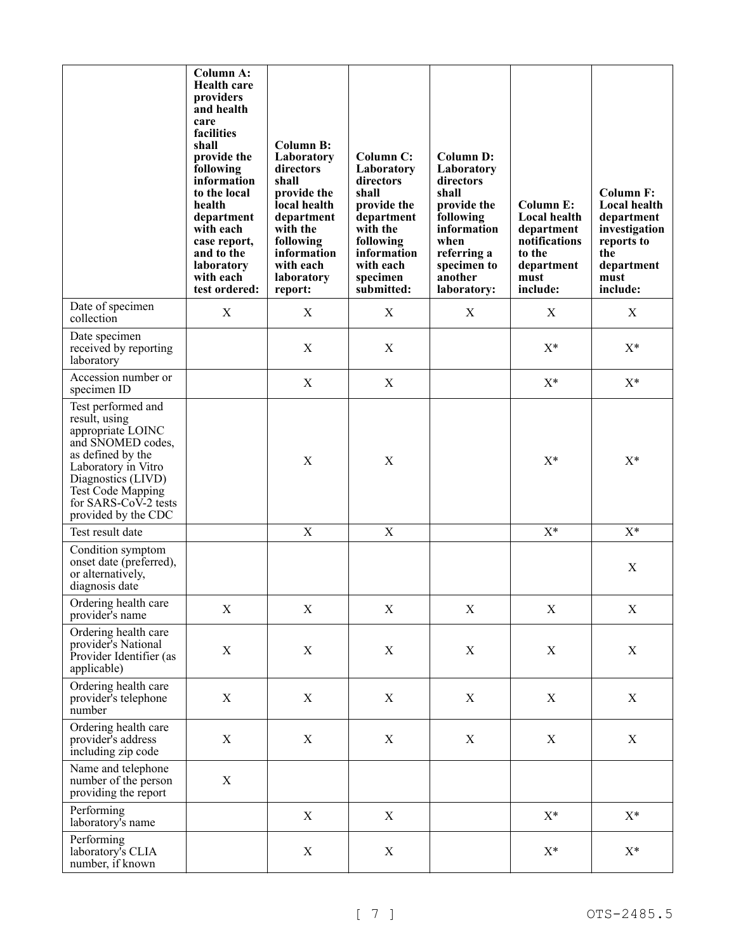|                                                                                                                                                                                                                            | Column A:<br><b>Health care</b><br>providers<br>and health<br>care<br>facilities<br>shall<br>provide the<br>following<br>information<br>to the local<br>health<br>department<br>with each<br>case report,<br>and to the<br>laboratory<br>with each<br>test ordered: | <b>Column B:</b><br>Laboratory<br>directors<br>shall<br>provide the<br>local health<br>department<br>with the<br>following<br>information<br>with each<br>laboratory<br>report: | Column C:<br>Laboratory<br>directors<br>shall<br>provide the<br>department<br>with the<br>following<br>information<br>with each<br>specimen<br>submitted: | <b>Column D:</b><br>Laboratory<br>directors<br>shall<br>provide the<br>following<br>information<br>when<br>referring a<br>specimen to<br>another<br>laboratory: | <b>Column E:</b><br><b>Local health</b><br>department<br>notifications<br>to the<br>department<br>must<br>include: | <b>Column F:</b><br>Local health<br>department<br>investigation<br>reports to<br>the<br>department<br>must<br>include: |
|----------------------------------------------------------------------------------------------------------------------------------------------------------------------------------------------------------------------------|---------------------------------------------------------------------------------------------------------------------------------------------------------------------------------------------------------------------------------------------------------------------|---------------------------------------------------------------------------------------------------------------------------------------------------------------------------------|-----------------------------------------------------------------------------------------------------------------------------------------------------------|-----------------------------------------------------------------------------------------------------------------------------------------------------------------|--------------------------------------------------------------------------------------------------------------------|------------------------------------------------------------------------------------------------------------------------|
| Date of specimen<br>collection                                                                                                                                                                                             | X                                                                                                                                                                                                                                                                   | X                                                                                                                                                                               | X                                                                                                                                                         | X                                                                                                                                                               | X                                                                                                                  | X                                                                                                                      |
| Date specimen<br>received by reporting<br>laboratory                                                                                                                                                                       |                                                                                                                                                                                                                                                                     | $\mathbf X$                                                                                                                                                                     | $\mathbf X$                                                                                                                                               |                                                                                                                                                                 | $X^*$                                                                                                              | $X^*$                                                                                                                  |
| Accession number or<br>specimen ID                                                                                                                                                                                         |                                                                                                                                                                                                                                                                     | $\mathbf X$                                                                                                                                                                     | $\mathbf X$                                                                                                                                               |                                                                                                                                                                 | $X^*$                                                                                                              | $X^*$                                                                                                                  |
| Test performed and<br>result, using<br>appropriate LOINC<br>and SNOMED codes,<br>as defined by the<br>Laboratory in Vitro<br>Diagnostics (LIVD)<br><b>Test Code Mapping</b><br>for SARS-CoV-2 tests<br>provided by the CDC |                                                                                                                                                                                                                                                                     | $\mathbf X$                                                                                                                                                                     | $\mathbf X$                                                                                                                                               |                                                                                                                                                                 | $X^*$                                                                                                              | $X^*$                                                                                                                  |
| Test result date                                                                                                                                                                                                           |                                                                                                                                                                                                                                                                     | $\mathbf X$                                                                                                                                                                     | $\mathbf X$                                                                                                                                               |                                                                                                                                                                 | $X^*$                                                                                                              | $X^*$                                                                                                                  |
| Condition symptom<br>onset date (preferred),<br>or alternatively,<br>diagnosis date                                                                                                                                        |                                                                                                                                                                                                                                                                     |                                                                                                                                                                                 |                                                                                                                                                           |                                                                                                                                                                 |                                                                                                                    | $\mathbf X$                                                                                                            |
| Ordering health care<br>provider's name                                                                                                                                                                                    | X                                                                                                                                                                                                                                                                   | $\mathbf X$                                                                                                                                                                     | X                                                                                                                                                         | X                                                                                                                                                               | X                                                                                                                  | $\mathbf X$                                                                                                            |
| Ordering health care<br>provider's National<br>Provider Identifier (as<br>applicable)                                                                                                                                      | $\mathbf X$                                                                                                                                                                                                                                                         | $\mathbf X$                                                                                                                                                                     | $\mathbf X$                                                                                                                                               | X                                                                                                                                                               | $\mathbf X$                                                                                                        | $\mathbf X$                                                                                                            |
| Ordering health care<br>provider's telephone<br>number                                                                                                                                                                     | $\mathbf X$                                                                                                                                                                                                                                                         | $\mathbf X$                                                                                                                                                                     | $\mathbf X$                                                                                                                                               | $\boldsymbol{\mathrm{X}}$                                                                                                                                       | $\mathbf X$                                                                                                        | $\mathbf X$                                                                                                            |
| Ordering health care<br>provider's address<br>including zip code                                                                                                                                                           | $\mathbf X$                                                                                                                                                                                                                                                         | $\mathbf X$                                                                                                                                                                     | $\mathbf X$                                                                                                                                               | X                                                                                                                                                               | X                                                                                                                  | X                                                                                                                      |
| Name and telephone<br>number of the person<br>providing the report                                                                                                                                                         | $\mathbf X$                                                                                                                                                                                                                                                         |                                                                                                                                                                                 |                                                                                                                                                           |                                                                                                                                                                 |                                                                                                                    |                                                                                                                        |
| Performing<br>laboratory's name                                                                                                                                                                                            |                                                                                                                                                                                                                                                                     | $\mathbf X$                                                                                                                                                                     | $\mathbf X$                                                                                                                                               |                                                                                                                                                                 | $X^*$                                                                                                              | $X^*$                                                                                                                  |
| Performing<br>laboratory's CLIA<br>number, if known                                                                                                                                                                        |                                                                                                                                                                                                                                                                     | $\mathbf X$                                                                                                                                                                     | $\mathbf X$                                                                                                                                               |                                                                                                                                                                 | $\mathbf{X}^*$                                                                                                     | $\mathbf{X}^*$                                                                                                         |